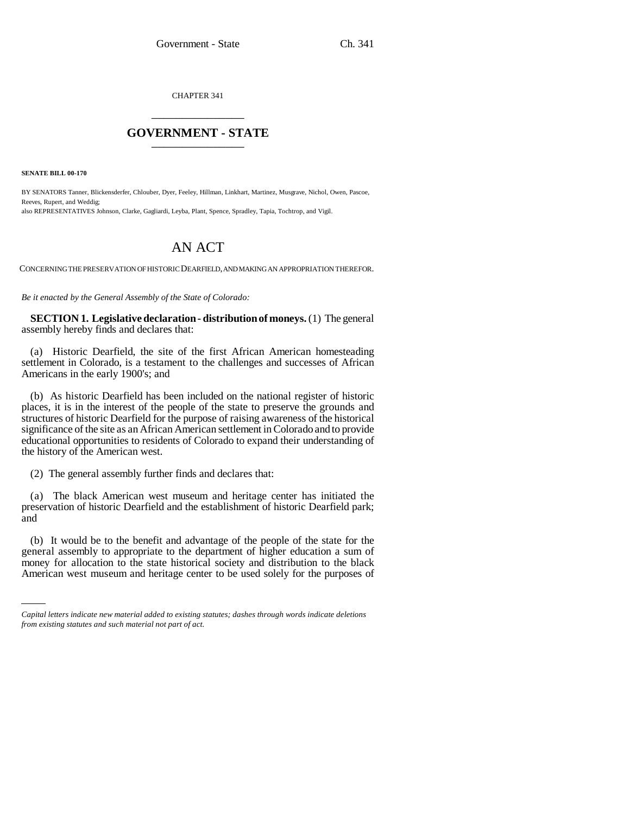CHAPTER 341 \_\_\_\_\_\_\_\_\_\_\_\_\_\_\_

## **GOVERNMENT - STATE** \_\_\_\_\_\_\_\_\_\_\_\_\_\_\_

**SENATE BILL 00-170** 

BY SENATORS Tanner, Blickensderfer, Chlouber, Dyer, Feeley, Hillman, Linkhart, Martinez, Musgrave, Nichol, Owen, Pascoe, Reeves, Rupert, and Weddig; also REPRESENTATIVES Johnson, Clarke, Gagliardi, Leyba, Plant, Spence, Spradley, Tapia, Tochtrop, and Vigil.

## AN ACT

CONCERNING THE PRESERVATION OF HISTORIC DEARFIELD, AND MAKING AN APPROPRIATION THEREFOR.

*Be it enacted by the General Assembly of the State of Colorado:*

**SECTION 1. Legislative declaration - distribution of moneys.** (1) The general assembly hereby finds and declares that:

(a) Historic Dearfield, the site of the first African American homesteading settlement in Colorado, is a testament to the challenges and successes of African Americans in the early 1900's; and

(b) As historic Dearfield has been included on the national register of historic places, it is in the interest of the people of the state to preserve the grounds and structures of historic Dearfield for the purpose of raising awareness of the historical significance of the site as an African American settlement in Colorado and to provide educational opportunities to residents of Colorado to expand their understanding of the history of the American west.

(2) The general assembly further finds and declares that:

(a) The black American west museum and heritage center has initiated the preservation of historic Dearfield and the establishment of historic Dearfield park; and

money for allocation to the state historical society and distribution to the black (b) It would be to the benefit and advantage of the people of the state for the general assembly to appropriate to the department of higher education a sum of American west museum and heritage center to be used solely for the purposes of

*Capital letters indicate new material added to existing statutes; dashes through words indicate deletions from existing statutes and such material not part of act.*